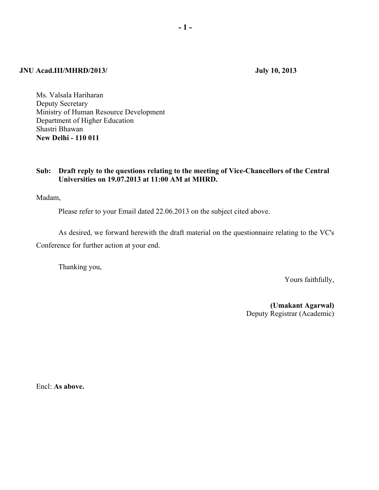## **JNU Acad.III/MHRD/2013/ July 10, 2013**

Ms. Valsala Hariharan Deputy Secretary Ministry of Human Resource Development Department of Higher Education Shastri Bhawan **New Delhi - 110 011** 

# **Sub: Draft reply to the questions relating to the meeting of Vice-Chancellors of the Central Universities on 19.07.2013 at 11:00 AM at MHRD.**

Madam, Î

Please refer to your Email dated 22.06.2013 on the subject cited above.

 As desired, we forward herewith the draft material on the questionnaire relating to the VC's Conference for further action at your end.

Thanking you,

Yours faithfully,

 **(Umakant Agarwal)**  Deputy Registrar (Academic)

Encl: **As above.**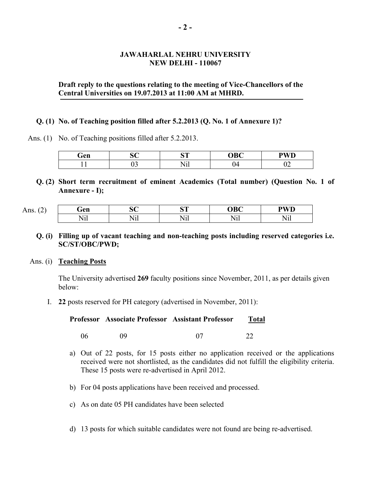# **JAWAHARLAL NEHRU UNIVERSITY NEW DELHI - 110067**

# **Draft reply to the questions relating to the meeting of Vice-Chancellors of the Central Universities on 19.07.2013 at 11:00 AM at MHRD.**

## **Q. (1) No. of Teaching position filled after 5.2.2013 (Q. No. 1 of Annexure 1)?**

Ans. (1) No. of Teaching positions filled after 5.2.2013.

| Gen | $\sim$ $\sim$<br>ັ | $\alpha$ m<br>∼         | <b>OBC</b> | <b>PWD</b><br>v |
|-----|--------------------|-------------------------|------------|-----------------|
|     | $\sim$<br>◡ۦ       | $    -$<br>$\mathbf{1}$ | .          | - -             |

**Q. (2) Short term recruitment of eminent Academics (Total number) (Question No. 1 of Annexure - I);** 

| Ans. | ŕеn          | $\sim$ $\sim$       | $\alpha$                    | <b>OBC</b>  | <b>DII/D</b><br>w     |
|------|--------------|---------------------|-----------------------------|-------------|-----------------------|
|      | $ -$<br>TATT | $- - -$<br>$\cdots$ | $ -$<br>W.<br>$\mathbf{11}$ | $-$ .<br>√H | . <del>.</del><br>11I |

**Q. (i) Filling up of vacant teaching and non-teaching posts including reserved categories i.e. SC/ST/OBC/PWD;** 

### Ans. (i) **Teaching Posts**

The University advertised **269** faculty positions since November, 2011, as per details given below:

I. **22** posts reserved for PH category (advertised in November, 2011):

| Professor Associate Professor Assistant Professor | <b>Total</b> |
|---------------------------------------------------|--------------|
|                                                   |              |

- 06 09 07 22
- a) Out of 22 posts, for 15 posts either no application received or the applications received were not shortlisted, as the candidates did not fulfill the eligibility criteria. These 15 posts were re-advertised in April 2012.
- b) For 04 posts applications have been received and processed.
- c) As on date 05 PH candidates have been selected
- d) 13 posts for which suitable candidates were not found are being re-advertised.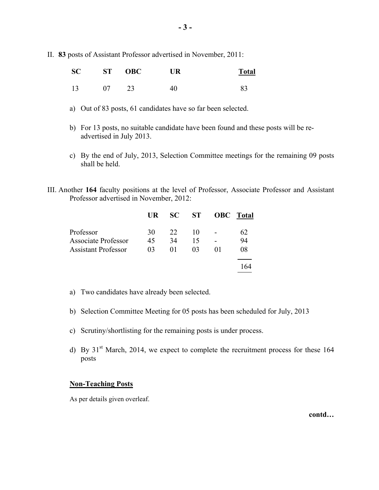II. **83** posts of Assistant Professor advertised in November, 2011:

|  |    | SC ST OBC | <b>UR</b> | <b>Total</b> |
|--|----|-----------|-----------|--------------|
|  | 07 | 23        |           |              |

- a) Out of 83 posts, 61 candidates have so far been selected.
- b) For 13 posts, no suitable candidate have been found and these posts will be readvertised in July 2013.
- c) By the end of July, 2013, Selection Committee meetings for the remaining 09 posts shall be held.
- III. Another **164** faculty positions at the level of Professor, Associate Professor and Assistant Professor advertised in November, 2012:

|                            | UR. | SC | <b>ST</b> | <b>OBC</b> | Total |
|----------------------------|-----|----|-----------|------------|-------|
| Professor                  | 30  | 22 | 10        |            | 62    |
| <b>Associate Professor</b> | 45  | 34 | 15        |            | 94    |
| <b>Assistant Professor</b> | 03  | 01 | $^{03}$   | 01         | 08    |
|                            |     |    |           |            |       |

- a) Two candidates have already been selected.
- b) Selection Committee Meeting for 05 posts has been scheduled for July, 2013
- c) Scrutiny/shortlisting for the remaining posts is under process.
- d) By  $31<sup>st</sup>$  March, 2014, we expect to complete the recruitment process for these 164 posts

## **Non-Teaching Posts**

As per details given overleaf.

**contd…**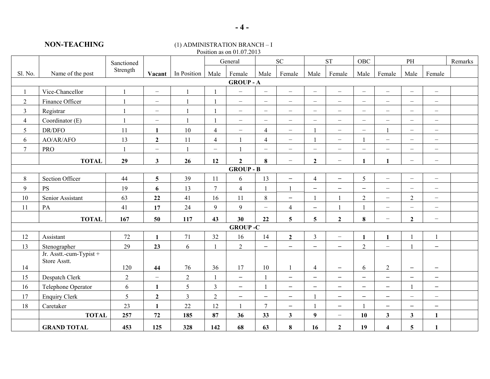#### **NON-TEACHING** (1) ADMINISTRATION BRANCH – I Position as on  $01.07.2013$

| I USILIUII AS UII UT.UT. $2013$ |                         |              |                          |                |                          |                          |                          |                          |                          |                          |                          |                          |                          |                          |         |
|---------------------------------|-------------------------|--------------|--------------------------|----------------|--------------------------|--------------------------|--------------------------|--------------------------|--------------------------|--------------------------|--------------------------|--------------------------|--------------------------|--------------------------|---------|
|                                 |                         | Sanctioned   |                          |                |                          | General                  |                          | ${\rm SC}$               |                          | ${\cal S}{\cal T}$       | OBC                      |                          | PH                       |                          | Remarks |
| Sl. No.                         | Name of the post        | Strength     | Vacant                   | In Position    | Male                     | Female                   | Male                     | Female                   | Male                     | Female                   | Male                     | Female                   | Male                     | Female                   |         |
|                                 |                         |              |                          |                |                          | <b>GROUP - A</b>         |                          |                          |                          |                          |                          |                          |                          |                          |         |
| $\mathbf{1}$                    | Vice-Chancellor         | $\mathbf{1}$ | $\overline{\phantom{0}}$ | $\mathbf{1}$   |                          | $\overline{\phantom{m}}$ | $\overline{\phantom{m}}$ | $\overline{\phantom{m}}$ | $\overline{\phantom{0}}$ | $\overline{\phantom{0}}$ | $\overline{\phantom{m}}$ | $\overline{\phantom{m}}$ | $\overline{\phantom{0}}$ | $\overline{\phantom{0}}$ |         |
| $\sqrt{2}$                      | Finance Officer         | $\mathbf{1}$ | $\equiv$                 | $\mathbf{1}$   |                          | $\overline{\phantom{0}}$ | $\overline{\phantom{m}}$ | $-$                      | $\overline{\phantom{0}}$ | $\overline{\phantom{0}}$ | $\overline{\phantom{a}}$ | $\overline{\phantom{m}}$ | $\overline{\phantom{0}}$ | $\overline{\phantom{0}}$ |         |
| $\mathfrak{Z}$                  | Registrar               | $\mathbf{1}$ | $\overline{\phantom{0}}$ |                |                          | $\overline{\phantom{0}}$ | $\overline{\phantom{m}}$ | $\overline{\phantom{0}}$ | $\overline{\phantom{0}}$ | $-$                      | $\overline{\phantom{0}}$ | $\qquad \qquad -$        | $\overline{\phantom{0}}$ | $\overline{\phantom{0}}$ |         |
| $\overline{4}$                  | Coordinator (E)         | $\mathbf{1}$ | $\overline{\phantom{m}}$ | $\overline{1}$ |                          | $\overline{\phantom{m}}$ | $\overline{\phantom{m}}$ | $\overline{\phantom{m}}$ | $\overline{\phantom{0}}$ | $\overline{\phantom{0}}$ | $\overline{\phantom{m}}$ | $\qquad \qquad -$        | $-$                      | $\overline{\phantom{0}}$ |         |
| 5                               | DR/DFO                  | 11           | $\mathbf{1}$             | 10             | $\overline{4}$           | $\overline{\phantom{m}}$ | $\overline{4}$           | $\overline{\phantom{m}}$ |                          | $\overline{\phantom{0}}$ | $\overline{\phantom{m}}$ | $\overline{1}$           | $\qquad \qquad -$        | $\overline{\phantom{0}}$ |         |
| 6                               | AO/AR/AFO               | 13           | $\mathbf{2}$             | 11             | $\overline{4}$           |                          | $\overline{4}$           | $\overline{\phantom{m}}$ |                          | $\overline{\phantom{0}}$ |                          | $\overline{\phantom{m}}$ | $\overline{\phantom{0}}$ | $\overline{\phantom{0}}$ |         |
| 7                               | <b>PRO</b>              | $\mathbf{1}$ | $\overline{\phantom{0}}$ | $\mathbf{1}$   | $\overline{\phantom{0}}$ |                          | $\overline{\phantom{m}}$ | $\qquad \qquad -$        | $\overline{\phantom{0}}$ | $\overline{\phantom{0}}$ | $\overline{\phantom{m}}$ | $\qquad \qquad -$        | $\overline{\phantom{0}}$ | $-$                      |         |
|                                 | <b>TOTAL</b>            | 29           | $\mathbf{3}$             | 26             | 12                       | $\overline{2}$           | 8                        |                          | $\mathbf{2}$             |                          |                          | 1                        | $-$                      | $\overline{\phantom{m}}$ |         |
|                                 |                         |              |                          |                |                          | <b>GROUP - B</b>         |                          |                          |                          |                          |                          |                          |                          |                          |         |
| $8\,$                           | Section Officer         | 44           | 5                        | 39             | 11                       | 6                        | 13                       | $\overline{\phantom{m}}$ | $\overline{4}$           | $\overline{\phantom{0}}$ | 5                        | $\overline{\phantom{0}}$ | $\overline{\phantom{0}}$ | $\overline{\phantom{0}}$ |         |
| 9                               | <b>PS</b>               | 19           | 6                        | 13             | $\tau$                   | $\overline{4}$           |                          |                          | $-$                      | $\overline{\phantom{0}}$ | $\overline{\phantom{m}}$ | $\overline{\phantom{m}}$ | $\overline{\phantom{0}}$ | $\overline{\phantom{0}}$ |         |
| 10                              | Senior Assistant        | 63           | 22                       | 41             | 16                       | 11                       | $8\,$                    | $\overline{\phantom{0}}$ |                          | $\mathbf{1}$             | 2                        | $\frac{1}{2}$            | $\overline{2}$           | $\overline{\phantom{0}}$ |         |
| 11                              | PA                      | 41           | 17                       | 24             | 9                        | 9                        | $\equiv$                 | $\overline{4}$           | $\overline{\phantom{0}}$ |                          |                          | $\qquad \qquad -$        | $\overline{\phantom{0}}$ | $\qquad \qquad -$        |         |
|                                 | <b>TOTAL</b>            | 167          | 50                       | 117            | 43                       | 30                       | 22                       | $\overline{5}$           | 5                        | $\overline{2}$           | 8                        | $\qquad \qquad -$        | $\overline{2}$           | $\qquad \qquad -$        |         |
|                                 |                         |              |                          |                |                          | <b>GROUP-C</b>           |                          |                          |                          |                          |                          |                          |                          |                          |         |
| 12                              | Assistant               | 72           | $\mathbf{1}$             | 71             | 32                       | 16                       | 14                       | $\mathbf{2}$             | $\overline{3}$           | $\overline{\phantom{0}}$ | 1                        | $\mathbf{1}$             | -1                       | $\mathbf{1}$             |         |
| 13                              | Stenographer            | 29           | 23                       | $6\,$          |                          | $\overline{2}$           | $\overline{\phantom{m}}$ | $\qquad \qquad -$        | $\qquad \qquad -$        | $\overline{\phantom{0}}$ | $\overline{2}$           | $\equiv$                 |                          | $\overline{\phantom{0}}$ |         |
|                                 | Jr. Asstt.-cum-Typist + |              |                          |                |                          |                          |                          |                          |                          |                          |                          |                          |                          |                          |         |
| 14                              | Store Asstt.            | 120          | 44                       | 76             | 36                       | 17                       | 10                       |                          | 4                        | $\overline{\phantom{0}}$ | 6                        | $\sqrt{2}$               | $\overline{\phantom{m}}$ | $\overline{\phantom{m}}$ |         |
| 15                              | Despatch Clerk          | $\sqrt{2}$   | $\qquad \qquad -$        | $\sqrt{2}$     |                          | $\overline{\phantom{m}}$ |                          | $\overline{\phantom{m}}$ | $\overline{\phantom{0}}$ | $\overline{\phantom{0}}$ | $\overline{\phantom{m}}$ | $\qquad \qquad -$        | $\overline{\phantom{0}}$ | $\overline{\phantom{m}}$ |         |
| 16                              | Telephone Operator      | 6            | $\mathbf{1}$             | $\mathfrak{S}$ | $\overline{3}$           | $-$                      |                          | $\overline{\phantom{m}}$ | $-$                      | $\overline{\phantom{0}}$ | $\overline{\phantom{m}}$ | $\qquad \qquad -$        |                          | $\overline{\phantom{0}}$ |         |
| 17                              | <b>Enquiry Clerk</b>    | 5            | $\overline{2}$           | $\mathfrak{Z}$ | $\overline{2}$           | $\overline{\phantom{m}}$ | $\overline{\phantom{m}}$ | $-$                      |                          | $\overline{\phantom{0}}$ | $\qquad \qquad -$        | $\overline{\phantom{m}}$ | $\overline{\phantom{0}}$ | $\overline{\phantom{0}}$ |         |
| 18                              | Caretaker               | 23           | $\mathbf{1}$             | 22             | 12                       |                          | $\overline{7}$           | $\overline{\phantom{m}}$ |                          | $\overline{\phantom{0}}$ |                          | $\qquad \qquad -$        | $\overline{\phantom{0}}$ | $\qquad \qquad -$        |         |
|                                 | <b>TOTAL</b>            | 257          | 72                       | 185            | 87                       | 36                       | 33                       | $\mathbf{3}$             | $\boldsymbol{q}$         | $\overline{\phantom{0}}$ | 10                       | $\mathbf{3}$             | $\mathbf{3}$             | $\mathbf{1}$             |         |
|                                 | <b>GRAND TOTAL</b>      | 453          | 125                      | 328            | 142                      | 68                       | 63                       | 8                        | 16                       | $\overline{2}$           | 19                       | $\overline{\mathbf{4}}$  | 5                        | $\mathbf{1}$             |         |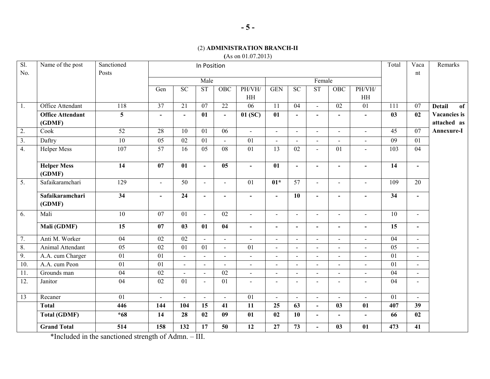# (2) **ADMINISTRATION BRANCH-II**

**(**As on 01.07.2013)

| Sl.<br>No.       | Name of the post                  | Sanctioned<br>Posts | In Position     |                 |                        |                          |                          |                 |                          |                              |                          |                              |                  | Vaca<br>nt               | Remarks                     |
|------------------|-----------------------------------|---------------------|-----------------|-----------------|------------------------|--------------------------|--------------------------|-----------------|--------------------------|------------------------------|--------------------------|------------------------------|------------------|--------------------------|-----------------------------|
|                  |                                   |                     |                 |                 | Male                   |                          |                          |                 |                          | Female                       |                          |                              |                  |                          |                             |
|                  |                                   |                     | Gen             | $\overline{SC}$ | $\overline{\text{ST}}$ | OBC                      | PH/VH/<br>HH             | <b>GEN</b>      | $\overline{SC}$          | ST                           | OBC                      | PH/VH/<br>HH                 |                  |                          |                             |
| $\overline{1}$ . | Office Attendant                  | 118                 | $\overline{37}$ | $\overline{21}$ | $\overline{07}$        | $\overline{22}$          | $\overline{06}$          | $\overline{11}$ | $\overline{04}$          | $\blacksquare$               | $\overline{02}$          | $\overline{01}$              | $\overline{111}$ | 07                       | <b>Detail</b><br>of         |
|                  | <b>Office Attendant</b><br>(GDMF) | 5                   | $\blacksquare$  | $\blacksquare$  | 01                     | $\blacksquare$           | 01(SC)                   | 01              | $\blacksquare$           | $\blacksquare$               | $\overline{\phantom{a}}$ | $\blacksquare$               | 03               | 02                       | Vacancies is<br>attached as |
| $\overline{2}$ . | Cook                              | $\overline{52}$     | 28              | $\overline{10}$ | 01                     | $\overline{06}$          | $\mathbf{r}$             | $\overline{a}$  | $\blacksquare$           | $\blacksquare$               | $\sim$                   | $\blacksquare$               | $\overline{45}$  | $\overline{07}$          | Annexure-I                  |
| 3.               | Daftry                            | $\overline{10}$     | $\overline{05}$ | 02              | 01                     | $\overline{\phantom{a}}$ | 01                       | $\blacksquare$  | $\overline{\phantom{a}}$ | $\overline{\phantom{a}}$     | $\overline{a}$           | $\qquad \qquad \blacksquare$ | 09               | 01                       |                             |
| 4.               | <b>Helper Mess</b>                | 107                 | $\overline{57}$ | 16              | 05                     | 08                       | 01                       | 13              | 02                       | $\overline{\phantom{a}}$     | 01                       | $\blacksquare$               | 103              | 04                       |                             |
|                  | <b>Helper Mess</b><br>(GDMF)      | 14                  | 07              | 01              | $\blacksquare$         | 05                       | $\blacksquare$           | 01              | $\blacksquare$           | $\blacksquare$               | $\blacksquare$           | $\blacksquare$               | 14               |                          |                             |
| $\overline{5}$ . | Safaikaramchari                   | $\overline{129}$    | $\blacksquare$  | $\overline{50}$ | $\blacksquare$         | $\blacksquare$           | $\overline{01}$          | $01*$           | $\overline{57}$          | $\blacksquare$               | $\sim$                   | $\blacksquare$               | 109              | $\overline{20}$          |                             |
|                  | Safaikaramchari<br>(GDMF)         | 34                  | $\blacksquare$  | $\overline{24}$ | $\blacksquare$         | $\blacksquare$           | $\blacksquare$           | $\blacksquare$  | $\overline{10}$          | $\blacksquare$               | $\blacksquare$           | $\blacksquare$               | 34               | $\blacksquare$           |                             |
| 6.               | Mali                              | 10                  | 07              | 01              | $\blacksquare$         | 02                       | $\blacksquare$           | $\blacksquare$  | $\blacksquare$           | $\blacksquare$               | $\sim$                   | $\sim$                       | 10               | $\blacksquare$           |                             |
|                  | Mali (GDMF)                       | $\overline{15}$     | 07              | 03              | 01                     | 04                       | $\blacksquare$           | $\blacksquare$  | $\overline{\phantom{a}}$ | $\qquad \qquad \blacksquare$ | $\overline{\phantom{a}}$ | $\overline{\phantom{a}}$     | 15               | $\overline{\phantom{a}}$ |                             |
| 7.               | Anti M. Worker                    | $\overline{04}$     | 02              | $\overline{02}$ | $\blacksquare$         | $\blacksquare$           | $\overline{a}$           | $\sim$          | $\overline{\phantom{a}}$ | $\overline{a}$               |                          | $\blacksquare$               | $\overline{04}$  | $\overline{a}$           |                             |
| $\overline{8}$ . | Animal Attendant                  | $\overline{05}$     | 02              | $\overline{01}$ | $\overline{01}$        | $\sim$                   | $\overline{01}$          | $\blacksquare$  | $\overline{a}$           | $\overline{a}$               | $\overline{a}$           | $\blacksquare$               | $\overline{05}$  | $\overline{a}$           |                             |
| 9.               | A.A. cum Charger                  | 01                  | 01              | $\sim$          | $\blacksquare$         | $\blacksquare$           | $\blacksquare$           | $\blacksquare$  | $\sim$                   | $\overline{a}$               | $\overline{a}$           | $\blacksquare$               | 01               | $\blacksquare$           |                             |
| 10.              | A.A. cum Peon                     | $\overline{01}$     | $\overline{01}$ | $\blacksquare$  | $\blacksquare$         | $\overline{\phantom{a}}$ | $\blacksquare$           | $\blacksquare$  |                          | $\blacksquare$               |                          | $\overline{\phantom{a}}$     | 01               | $\overline{a}$           |                             |
| 11.              | Grounds man                       | 04                  | 02              | $\overline{a}$  | $\overline{a}$         | $\overline{02}$          | $\overline{\phantom{a}}$ | $\overline{a}$  | $\overline{a}$           | $\overline{a}$               | $\overline{a}$           | $\blacksquare$               | 04               | $\overline{a}$           |                             |
| 12.              | Janitor                           | 04                  | $\overline{02}$ | 01              | $\blacksquare$         | $\overline{01}$          | $\blacksquare$           | $\blacksquare$  | $\sim$                   | $\blacksquare$               | $\overline{\phantom{a}}$ | $\blacksquare$               | 04               | $\blacksquare$           |                             |
| 13               | Recaner                           | $\overline{01}$     | $\overline{a}$  | $\blacksquare$  | $\blacksquare$         | $\sim$                   | $\overline{01}$          | $\blacksquare$  | $\blacksquare$           | $\blacksquare$               | $\overline{a}$           | $\blacksquare$               | $\overline{01}$  |                          |                             |
|                  | <b>Total</b>                      | 446                 | 144             | 104             | 15                     | 41                       | 11                       | 25              | 63                       | $\blacksquare$               | 03                       | 01                           | 407              | 39                       |                             |
|                  | <b>Total (GDMF)</b>               | $*68$               | 14              | 28              | 02                     | 09                       | $\overline{01}$          | 02              | 10                       | $\overline{\phantom{a}}$     | $\overline{\phantom{a}}$ | $\blacksquare$               | 66               | $\overline{02}$          |                             |
|                  | <b>Grand Total</b>                | $\overline{514}$    | 158             | 132             | 17                     | 50                       | $\overline{12}$          | 27              | $\overline{73}$          | $\blacksquare$               | 03                       | 01                           | 473              | 41                       |                             |

\*Included in the sanctioned strength of Admn. – III.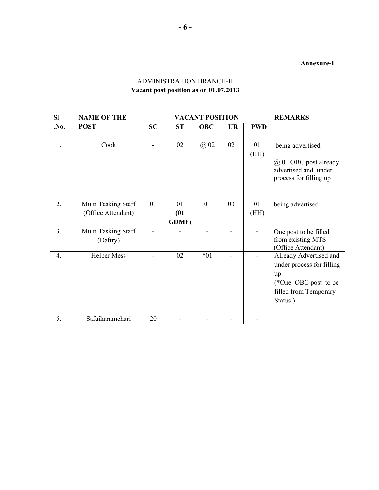**Annexure-I** 

| <b>SI</b>        | <b>NAME OF THE</b>                        |           |                            | <b>VACANT POSITION</b> | <b>REMARKS</b> |            |                                                                                                                       |  |
|------------------|-------------------------------------------|-----------|----------------------------|------------------------|----------------|------------|-----------------------------------------------------------------------------------------------------------------------|--|
| .No.             | <b>POST</b>                               | <b>SC</b> | <b>ST</b>                  | <b>OBC</b>             | <b>UR</b>      | <b>PWD</b> |                                                                                                                       |  |
| 1.               | Cook                                      |           | 02                         | @ 02                   | 02             | 01<br>(HH) | being advertised<br>@ 01 OBC post already<br>advertised and under<br>process for filling up                           |  |
| 2.               | Multi Tasking Staff<br>(Office Attendant) | 01        | 01<br>(01)<br><b>GDMF)</b> | 01                     | 03             | 01<br>(HH) | being advertised                                                                                                      |  |
| 3.               | Multi Tasking Staff<br>(Daftry)           |           |                            |                        |                |            | One post to be filled<br>from existing MTS<br>(Office Attendant)                                                      |  |
| $\overline{4}$ . | <b>Helper Mess</b>                        |           | 02                         | $*01$                  |                |            | Already Advertised and<br>under process for filling<br>up<br>(*One OBC post to be<br>filled from Temporary<br>Status) |  |
| 5.               | Safaikaramchari                           | 20        |                            |                        |                |            |                                                                                                                       |  |

# ADMINISTRATION BRANCH-II **Vacant post position as on 01.07.2013**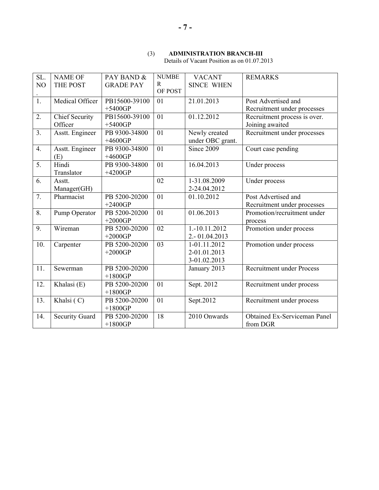# (3) **ADMINISTRATION BRANCH-III**

Details of Vacant Position as on 01.07.2013

| SL.              | <b>NAME OF</b>        | PAY BAND &       | <b>NUMBE</b> | <b>VACANT</b>     | <b>REMARKS</b>                      |
|------------------|-----------------------|------------------|--------------|-------------------|-------------------------------------|
| NO               | THE POST              | <b>GRADE PAY</b> | R            | <b>SINCE WHEN</b> |                                     |
|                  |                       |                  | OF POST      |                   |                                     |
| 1.               | Medical Officer       | PB15600-39100    | 01           | 21.01.2013        | Post Advertised and                 |
|                  |                       | $+5400GP$        |              |                   | Recruitment under processes         |
| 2.               | <b>Chief Security</b> | PB15600-39100    | 01           | 01.12.2012        | Recruitment process is over.        |
|                  | Officer               | $+5400GP$        |              |                   | Joining awaited                     |
| 3.               | Asstt. Engineer       | PB 9300-34800    | 01           | Newly created     | Recruitment under processes         |
|                  |                       | $+4600GP$        |              | under OBC grant.  |                                     |
| $\overline{4}$ . | Asstt. Engineer       | PB 9300-34800    | 01           | Since 2009        | Court case pending                  |
|                  | (E)                   | $+4600GP$        |              |                   |                                     |
| $\overline{5}$ . | Hindi                 | PB 9300-34800    | 01           | 16.04.2013        | Under process                       |
|                  | Translator            | $+4200GP$        |              |                   |                                     |
| 6.               | Asstt.                |                  | 02           | 1-31.08.2009      | Under process                       |
|                  | Manager(GH)           |                  |              | 2-24.04.2012      |                                     |
| 7.               | Pharmacist            | PB 5200-20200    | 01           | 01.10.2012        | Post Advertised and                 |
|                  |                       | $+2400GP$        |              |                   | Recruitment under processes         |
| 8.               | Pump Operator         | PB 5200-20200    | 01           | 01.06.2013        | Promotion/recruitment under         |
|                  |                       | $+2000GP$        |              |                   | process                             |
| 9.               | Wireman               | PB 5200-20200    | 02           | 1.-10.11.2012     | Promotion under process             |
|                  |                       | $+2000GP$        |              | 2.-01.04.2013     |                                     |
| 10.              | Carpenter             | PB 5200-20200    | 03           | 1-01.11.2012      | Promotion under process             |
|                  |                       | $+2000GP$        |              | 2-01.01.2013      |                                     |
|                  |                       |                  |              | 3-01.02.2013      |                                     |
| 11.              | Sewerman              | PB 5200-20200    |              | January 2013      | <b>Recruitment under Process</b>    |
|                  |                       | $+1800GP$        |              |                   |                                     |
| 12.              | Khalasi $(E)$         | PB 5200-20200    | 01           | Sept. 2012        | Recruitment under process           |
|                  |                       | $+1800GP$        |              |                   |                                     |
| 13.              | Khalsi (C)            | PB 5200-20200    | 01           | Sept.2012         | Recruitment under process           |
|                  |                       | $+1800GP$        |              |                   |                                     |
| 14.              | <b>Security Guard</b> | PB 5200-20200    | 18           | 2010 Onwards      | <b>Obtained Ex-Serviceman Panel</b> |
|                  |                       | $+1800GP$        |              |                   | from DGR                            |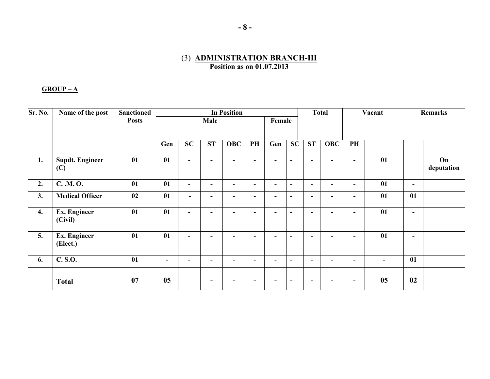# (3) **ADMINISTRATION BRANCH-III Position as on 01.07.2013**

#### **GROUP – A**

| Sr. No. | Name of the post                | <b>Sanctioned</b> |        |                          |                | <b>In Position</b> |        |                          |                | <b>Total</b>             |            | Vacant                   |    | Remarks |                  |
|---------|---------------------------------|-------------------|--------|--------------------------|----------------|--------------------|--------|--------------------------|----------------|--------------------------|------------|--------------------------|----|---------|------------------|
|         |                                 | <b>Posts</b>      |        |                          | Male           |                    |        | Female                   |                |                          |            |                          |    |         |                  |
|         |                                 |                   |        |                          |                |                    |        |                          |                |                          |            |                          |    |         |                  |
|         |                                 |                   | Gen    | SC                       | <b>ST</b>      | <b>OBC</b>         | PH     | Gen                      | SC             | <b>ST</b>                | <b>OBC</b> | PH                       |    |         |                  |
| 1.      | <b>Supdt. Engineer</b><br>(C)   | 01                | 01     | $\sim$                   | ٠              | $\blacksquare$     | $\sim$ | $\blacksquare$           | $\blacksquare$ | $\blacksquare$           | ۰          | $\sim$                   | 01 |         | On<br>deputation |
| 2.      | C. . M. O.                      | 01                | 01     | $\overline{\phantom{a}}$ | $\blacksquare$ | ۰                  | -      | $\blacksquare$           | $\blacksquare$ | $\blacksquare$           | ٠.         | ۰.                       | 01 | ۰       |                  |
| 3.      | <b>Medical Officer</b>          | 02                | 01     |                          | $\blacksquare$ | ۰                  |        | $\blacksquare$           | $\blacksquare$ | $\blacksquare$           | ۰          | -                        | 01 | 01      |                  |
| 4.      | <b>Ex. Engineer</b><br>(Civil)  | 01                | 01     | $\blacksquare$           | ۰              | $\blacksquare$     | $\sim$ | $\blacksquare$           | $\blacksquare$ | $\blacksquare$           | ٠.         | ٠.                       | 01 | $\sim$  |                  |
| 5.      | <b>Ex. Engineer</b><br>(Elect.) | 01                | 01     | $\blacksquare$           | $\blacksquare$ | $\blacksquare$     | $\sim$ | $\sim$                   | $\blacksquare$ | $\overline{\phantom{a}}$ | ۰          | ٠                        | 01 | $\sim$  |                  |
| 6.      | C. S.O.                         | 01                | $\sim$ |                          | ۰              | ۰                  |        | $\overline{\phantom{a}}$ | $\sim$         | ۰                        | ۰          | ۰                        |    | 01      |                  |
|         | <b>Total</b>                    | 07                | 05     |                          | ۰              | -                  | ۰      |                          | ۰              | $\overline{\phantom{a}}$ | -          | $\overline{\phantom{a}}$ | 05 | 02      |                  |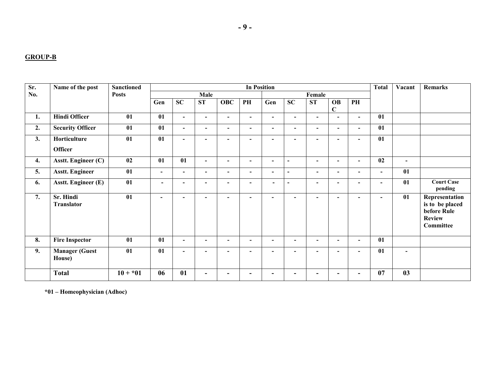#### **GROUP-B**

| Sr. | Name of the post                | <b>Sanctioned</b> | <b>In Position</b>       |                          |                          |                          |                          |                          |                          |                          |                          |                          |                          | Vacant         | Remarks                                                                        |
|-----|---------------------------------|-------------------|--------------------------|--------------------------|--------------------------|--------------------------|--------------------------|--------------------------|--------------------------|--------------------------|--------------------------|--------------------------|--------------------------|----------------|--------------------------------------------------------------------------------|
| No. |                                 | <b>Posts</b>      |                          |                          | Male                     |                          |                          |                          |                          | Female                   |                          |                          |                          |                |                                                                                |
|     |                                 |                   | Gen                      | SC                       | <b>ST</b>                | <b>OBC</b>               | PH                       | Gen                      | SC                       | <b>ST</b>                | <b>OB</b><br>$\mathbf C$ | PH                       |                          |                |                                                                                |
| 1.  | <b>Hindi Officer</b>            | 01                | 01                       | $\blacksquare$           | $\blacksquare$           | $\blacksquare$           | $\blacksquare$           | $\overline{\phantom{a}}$ | $\blacksquare$           | $\sim$                   | $\blacksquare$           | $\blacksquare$           | 01                       |                |                                                                                |
| 2.  | <b>Security Officer</b>         | 01                | 01                       | $\blacksquare$           | $\blacksquare$           | $\overline{\phantom{a}}$ | $\blacksquare$           | $\blacksquare$           | $\blacksquare$           | $\overline{\phantom{0}}$ | $\blacksquare$           | $\overline{\phantom{0}}$ | 01                       |                |                                                                                |
| 3.  | Horticulture<br><b>Officer</b>  | 01                | 01                       | $\blacksquare$           | $\overline{\phantom{a}}$ | $\blacksquare$           |                          | $\overline{\phantom{a}}$ | $\blacksquare$           | $\overline{\phantom{a}}$ | $\overline{\phantom{a}}$ | $\overline{\phantom{0}}$ | 01                       |                |                                                                                |
| 4.  | Asstt. Engineer (C)             | 02                | 01                       | 01                       | $\blacksquare$           | $\blacksquare$           | $\blacksquare$           | $\overline{\phantom{a}}$ | $\blacksquare$           | $\overline{\phantom{0}}$ | $\blacksquare$           | $\overline{\phantom{0}}$ | 02                       | $\blacksquare$ |                                                                                |
| 5.  | <b>Asstt. Engineer</b>          | 01                | $\blacksquare$           | $\blacksquare$           | $\overline{\phantom{a}}$ | $\overline{\phantom{a}}$ | $\overline{\phantom{a}}$ | $\overline{\phantom{a}}$ | $\overline{\phantom{a}}$ | $\overline{\phantom{0}}$ | $\overline{\phantom{a}}$ | $\blacksquare$           | $\blacksquare$           | 01             |                                                                                |
| 6.  | <b>Asstt. Engineer (E)</b>      | 01                | $\overline{\phantom{0}}$ | $\blacksquare$           | $\blacksquare$           | $\overline{\phantom{a}}$ | $\overline{\phantom{0}}$ | $\overline{\phantom{0}}$ | $\overline{\phantom{0}}$ | $\overline{\phantom{0}}$ | $\overline{\phantom{0}}$ | $\blacksquare$           | $\blacksquare$           | 01             | <b>Court Case</b><br>pending                                                   |
| 7.  | Sr. Hindi<br><b>Translator</b>  | 01                | $\overline{\phantom{0}}$ | $\overline{\phantom{0}}$ | $\blacksquare$           | $\overline{\phantom{0}}$ | $\overline{\phantom{0}}$ | $\blacksquare$           | $\overline{\phantom{0}}$ | $\blacksquare$           | $\blacksquare$           | $\blacksquare$           | $\overline{\phantom{a}}$ | 01             | Representation<br>is to be placed<br>before Rule<br><b>Review</b><br>Committee |
| 8.  | <b>Fire Inspector</b>           | 01                | 01                       | $\overline{\phantom{a}}$ | $\blacksquare$           | $\blacksquare$           | $\overline{\phantom{a}}$ | $\blacksquare$           | $\blacksquare$           | $\overline{\phantom{0}}$ | $\blacksquare$           | $\blacksquare$           | 01                       |                |                                                                                |
| 9.  | <b>Manager (Guest</b><br>House) | 01                | 01                       | $\overline{\phantom{a}}$ | $\overline{\phantom{a}}$ | $\overline{\phantom{a}}$ |                          | $\blacksquare$           | $\overline{\phantom{a}}$ | $\overline{\phantom{a}}$ | $\overline{\phantom{a}}$ | $\overline{\phantom{0}}$ | 01                       | $\blacksquare$ |                                                                                |
|     | <b>Total</b>                    | $10 + *01$        | 06                       | 01                       | $\blacksquare$           | $\blacksquare$           |                          | -                        |                          | -                        | $\overline{\phantom{0}}$ |                          | 07                       | 03             |                                                                                |

**\*01 – Homeophysician (Adhoc)**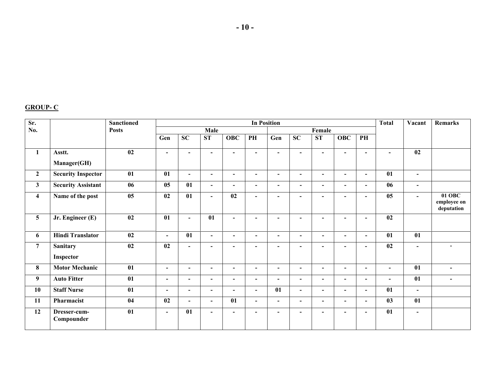**- 10 -**

#### **GROUP- C**

| Sr.                     |                              | <b>Sanctioned</b>                   |                          |                          |                          |                          |                          | <b>Total</b><br>Vacant   |                          | Remarks                  |                          |                |                          |                          |                                       |
|-------------------------|------------------------------|-------------------------------------|--------------------------|--------------------------|--------------------------|--------------------------|--------------------------|--------------------------|--------------------------|--------------------------|--------------------------|----------------|--------------------------|--------------------------|---------------------------------------|
| No.                     |                              | <b>Posts</b>                        |                          |                          | Male                     |                          |                          |                          |                          | Female                   |                          |                |                          |                          |                                       |
|                         |                              |                                     | Gen                      | <b>SC</b>                | <b>ST</b>                | <b>OBC</b>               | PH                       | Gen                      | <b>SC</b>                | ST                       | <b>OBC</b>               | PH             |                          |                          |                                       |
| $\mathbf{1}$            | Asstt.<br>Manager(GH)        | 02                                  | $\overline{\phantom{a}}$ | $\blacksquare$           | $\overline{\phantom{a}}$ | $\blacksquare$           | $\overline{\phantom{a}}$ | $\overline{\phantom{a}}$ | $\blacksquare$           | $\blacksquare$           | $\blacksquare$           | $\blacksquare$ | $\blacksquare$           | 02                       |                                       |
| $\mathbf{2}$            | <b>Security Inspector</b>    | 01                                  | 01                       | $\overline{\phantom{0}}$ | $\blacksquare$           | $\blacksquare$           | $\overline{\phantom{0}}$ | $\blacksquare$           | $\overline{\phantom{0}}$ | $\overline{\phantom{0}}$ | $\overline{\phantom{0}}$ | $\blacksquare$ | 01                       | $\blacksquare$           |                                       |
| $\mathbf{3}$            | <b>Security Assistant</b>    | $\overline{06}$                     | 05                       | 01                       | $\blacksquare$           | $\blacksquare$           | $\overline{\phantom{a}}$ | $\overline{\phantom{0}}$ | $\blacksquare$           | $\blacksquare$           | $\blacksquare$           | $\blacksquare$ | 06                       | $\overline{\phantom{0}}$ |                                       |
| $\overline{\mathbf{4}}$ | Name of the post             | $\overline{\overline{\mathbf{05}}}$ | 02                       | 01                       | $\blacksquare$           | 02                       | $\blacksquare$           | $\overline{\phantom{a}}$ | $\blacksquare$           | $\blacksquare$           | $\overline{\phantom{0}}$ | $\blacksquare$ | 05                       | $\overline{\phantom{a}}$ | $01$ OBC<br>employee on<br>deputation |
| $\overline{5}$          | Jr. Engineer (E)             | 02                                  | 01                       | $\blacksquare$           | 01                       | $\blacksquare$           | $\overline{\phantom{a}}$ | $\overline{\phantom{0}}$ | $\blacksquare$           | $\blacksquare$           | $\overline{\phantom{a}}$ | $\blacksquare$ | 02                       |                          |                                       |
| 6                       | <b>Hindi Translator</b>      | 02                                  | $\sim$                   | 01                       | $\blacksquare$           | $\overline{\phantom{a}}$ | $\blacksquare$           | $\blacksquare$           | $\blacksquare$           | $\blacksquare$           | $\blacksquare$           | $\blacksquare$ | 01                       | 01                       |                                       |
| $\overline{7}$          | <b>Sanitary</b><br>Inspector | 02                                  | 02                       | $\blacksquare$           | $\blacksquare$           | $\blacksquare$           | $\overline{\phantom{a}}$ | $\blacksquare$           | $\blacksquare$           | $\blacksquare$           | $\overline{\phantom{a}}$ | $\blacksquare$ | 02                       | $\blacksquare$           | $\overline{\phantom{a}}$              |
| 8                       | <b>Motor Mechanic</b>        | 01                                  | $\overline{\phantom{a}}$ | $\overline{\phantom{a}}$ | $\blacksquare$           | $\blacksquare$           | $\overline{\phantom{0}}$ | $\overline{\phantom{a}}$ | $\overline{\phantom{a}}$ | $\overline{\phantom{a}}$ | $\overline{\phantom{a}}$ | $\blacksquare$ | $\overline{\phantom{a}}$ | 01                       | $\overline{\phantom{a}}$              |
| 9                       | <b>Auto Fitter</b>           | 01                                  | $\blacksquare$           | $\overline{\phantom{0}}$ | $\blacksquare$           | $\blacksquare$           | $\overline{\phantom{a}}$ | $\overline{\phantom{0}}$ | $\blacksquare$           | $\overline{\phantom{0}}$ | $\overline{\phantom{a}}$ | $\blacksquare$ | $\overline{\phantom{0}}$ | 01                       | $\overline{\phantom{0}}$              |
| 10                      | <b>Staff Nurse</b>           | 01                                  | $\overline{\phantom{a}}$ | $\blacksquare$           | $\blacksquare$           | $\blacksquare$           | $\blacksquare$           | 01                       | $\overline{\phantom{a}}$ | $\blacksquare$           | $\overline{\phantom{a}}$ | $\blacksquare$ | 01                       | $\overline{\phantom{a}}$ |                                       |
| 11                      | Pharmacist                   | 04                                  | 02                       | $\blacksquare$           | $\blacksquare$           | 01                       | $\overline{\phantom{0}}$ | $\blacksquare$           | $\overline{\phantom{a}}$ | $\blacksquare$           | $\blacksquare$           | $\blacksquare$ | 03                       | 01                       |                                       |
| 12                      | Dresser-cum-<br>Compounder   | 01                                  | $\blacksquare$           | 01                       | $\blacksquare$           | $\blacksquare$           | $\overline{\phantom{a}}$ | $\overline{\phantom{a}}$ | $\blacksquare$           | $\overline{\phantom{a}}$ | $\blacksquare$           | $\blacksquare$ | 01                       | $\overline{\phantom{a}}$ |                                       |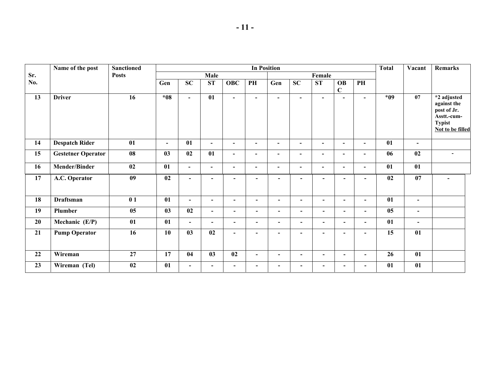|     | Name of the post          | <b>Sanctioned</b>                   |                 |                          |                          |                          |                          | <b>In Position</b>       |                          |                          |                              |                          | <b>Total</b> | Vacant         | <b>Remarks</b>                                                                                |
|-----|---------------------------|-------------------------------------|-----------------|--------------------------|--------------------------|--------------------------|--------------------------|--------------------------|--------------------------|--------------------------|------------------------------|--------------------------|--------------|----------------|-----------------------------------------------------------------------------------------------|
| Sr. |                           | <b>Posts</b>                        |                 |                          | Male                     |                          |                          |                          |                          | Female                   |                              |                          |              |                |                                                                                               |
| No. |                           |                                     | Gen             | <b>SC</b>                | ST                       | <b>OBC</b>               | PH                       | Gen                      | SC                       | <b>ST</b>                | <b>OB</b><br>$\mathbf C$     | PH                       |              |                |                                                                                               |
| 13  | <b>Driver</b>             | 16                                  | $*08$           | $\blacksquare$           | 01                       | $\blacksquare$           | $\blacksquare$           | $\blacksquare$           | $\blacksquare$           | $\blacksquare$           | $\blacksquare$               | $\blacksquare$           | $*09$        | 07             | *2 adjusted<br>against the<br>post of Jr.<br>Asstt.-cum-<br><b>Typist</b><br>Not to be filled |
| 14  | <b>Despatch Rider</b>     | 01                                  | $\blacksquare$  | 01                       | $\blacksquare$           | $\blacksquare$           | $\blacksquare$           | $\overline{\phantom{a}}$ | $\blacksquare$           | $\blacksquare$           | $\overline{\phantom{a}}$     | $\overline{\phantom{a}}$ | 01           | $\blacksquare$ |                                                                                               |
| 15  | <b>Gestetner Operator</b> | 08                                  | 03              | 02                       | 01                       | $\overline{\phantom{a}}$ | $\blacksquare$           | $\overline{\phantom{a}}$ | $\blacksquare$           | $\blacksquare$           | $\qquad \qquad \blacksquare$ | $\overline{\phantom{a}}$ | 06           | 02             | $\blacksquare$                                                                                |
| 16  | <b>Mender/Binder</b>      | 02                                  | 01              | $\blacksquare$           | $\blacksquare$           | $\blacksquare$           | $\blacksquare$           | $\overline{\phantom{a}}$ | $\blacksquare$           | $\blacksquare$           | $\blacksquare$               | $\blacksquare$           | 01           | 01             |                                                                                               |
| 17  | A.C. Operator             | 09                                  | 02              | $\blacksquare$           | $\blacksquare$           | $\blacksquare$           | $\overline{a}$           | $\overline{\phantom{a}}$ | $\blacksquare$           | $\blacksquare$           | $\blacksquare$               |                          | 02           | 07             |                                                                                               |
| 18  | <b>Draftsman</b>          | 01                                  | 01              | $\overline{\phantom{0}}$ | $\blacksquare$           | $\blacksquare$           | $\overline{\phantom{0}}$ | $\overline{\phantom{a}}$ | $\blacksquare$           | $\overline{\phantom{a}}$ | $\blacksquare$               | $\overline{\phantom{0}}$ | 01           | $\blacksquare$ |                                                                                               |
| 19  | Plumber                   | $\overline{\overline{\mathbf{05}}}$ | $\overline{03}$ | $\overline{02}$          | $\blacksquare$           | $\blacksquare$           | $\blacksquare$           | $\overline{\phantom{0}}$ | $\blacksquare$           | $\blacksquare$           | $\blacksquare$               |                          |              | $\blacksquare$ |                                                                                               |
| 20  | Mechanic (E/P)            | 01                                  | 01              | $\overline{\phantom{0}}$ | $\overline{\phantom{a}}$ | $\overline{\phantom{0}}$ | Ξ.                       | $\overline{\phantom{0}}$ | $\overline{\phantom{a}}$ | $\overline{\phantom{a}}$ | $\overline{\phantom{a}}$     |                          | 01           | $\blacksquare$ |                                                                                               |
| 21  | <b>Pump Operator</b>      | 16                                  | 10              | 03                       | 02                       | $\blacksquare$           |                          |                          | $\overline{\phantom{0}}$ | $\overline{\phantom{a}}$ | $\overline{\phantom{0}}$     |                          | 15           | 01             |                                                                                               |
| 22  | Wireman                   | 27                                  | 17              | 04                       | 03                       | 02                       | $\overline{\phantom{0}}$ | $\overline{\phantom{a}}$ | $\overline{\phantom{a}}$ | $\blacksquare$           | $\overline{\phantom{a}}$     | $\overline{\phantom{0}}$ | 26           | 01             |                                                                                               |
| 23  | Wireman (Tel)             | 02                                  | 01              | $\blacksquare$           | $\overline{\phantom{a}}$ | $\overline{\phantom{a}}$ | $\overline{\phantom{0}}$ | $\overline{\phantom{a}}$ | $\blacksquare$           | $\blacksquare$           | $\overline{\phantom{a}}$     |                          | 01           | 01             |                                                                                               |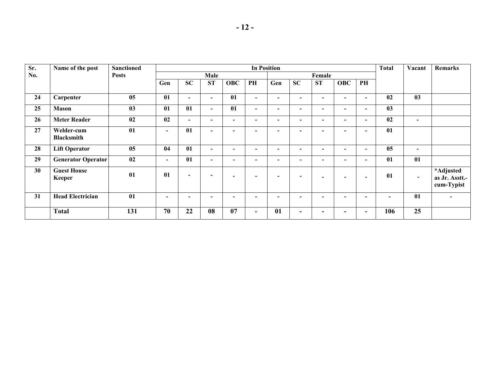| Sr. | Name of the post                | <b>Sanctioned</b> |                          |                          |                          |                          |                          | <b>In Position</b>       |                          |                          |                          |                          | <b>Total</b> | Vacant                   | Remarks                                   |
|-----|---------------------------------|-------------------|--------------------------|--------------------------|--------------------------|--------------------------|--------------------------|--------------------------|--------------------------|--------------------------|--------------------------|--------------------------|--------------|--------------------------|-------------------------------------------|
| No. |                                 | <b>Posts</b>      |                          |                          | Male                     |                          |                          |                          |                          | Female                   |                          |                          |              |                          |                                           |
|     |                                 |                   | Gen                      | <b>SC</b>                | <b>ST</b>                | <b>OBC</b>               | PH                       | Gen                      | <b>SC</b>                | <b>ST</b>                | <b>OBC</b>               | PH                       |              |                          |                                           |
| 24  | Carpenter                       | 05                | 01                       | $\overline{\phantom{0}}$ | $\overline{\phantom{a}}$ | 01                       | $\blacksquare$           | $\overline{\phantom{a}}$ | $\blacksquare$           | $\overline{\phantom{0}}$ | $\overline{\phantom{0}}$ | $\overline{\phantom{0}}$ | 02           | 03                       |                                           |
| 25  | <b>Mason</b>                    | 03                | 01                       | 01                       | $\blacksquare$           | 01                       | $\blacksquare$           | $\overline{\phantom{0}}$ | $\overline{\phantom{a}}$ | $\overline{\phantom{0}}$ |                          | $\overline{\phantom{0}}$ | 03           |                          |                                           |
| 26  | <b>Meter Reader</b>             | 02                | 02                       | $\overline{\phantom{0}}$ | $\overline{\phantom{0}}$ | $\overline{\phantom{0}}$ | $\overline{\phantom{0}}$ | $\overline{\phantom{0}}$ | $\overline{\phantom{a}}$ | $\overline{\phantom{0}}$ | ۰                        | -                        | 02           | $\blacksquare$           |                                           |
| 27  | Welder-cum<br><b>Blacksmith</b> | 01                | $\overline{\phantom{0}}$ | 01                       | $\overline{\phantom{0}}$ | $\overline{\phantom{0}}$ | $\overline{\phantom{0}}$ | $\overline{\phantom{a}}$ | $\overline{\phantom{a}}$ | $\overline{\phantom{0}}$ | $\overline{\phantom{0}}$ | $\overline{\phantom{0}}$ | 01           |                          |                                           |
| 28  | <b>Lift Operator</b>            | 05                | 04                       | 01                       | $\overline{\phantom{a}}$ | $\overline{\phantom{0}}$ |                          | $\overline{\phantom{a}}$ | $\overline{\phantom{0}}$ | $\overline{\phantom{0}}$ |                          |                          | 05           | $\overline{\phantom{a}}$ |                                           |
| 29  | Generator Operator              | 02                | $\overline{\phantom{0}}$ | 01                       | $\overline{\phantom{0}}$ | $\overline{\phantom{0}}$ | $\overline{\phantom{0}}$ | $\overline{\phantom{0}}$ | $\overline{\phantom{0}}$ | $\overline{\phantom{0}}$ | $\overline{\phantom{0}}$ | $\overline{\phantom{0}}$ | 01           | 01                       |                                           |
| 30  | <b>Guest House</b><br>Keeper    | 01                | 01                       | $\overline{\phantom{0}}$ | $\blacksquare$           | $\overline{\phantom{0}}$ | $\overline{\phantom{0}}$ | $\blacksquare$           | $\overline{\phantom{0}}$ | $\overline{\phantom{a}}$ |                          | $\overline{\phantom{0}}$ | 01           | $\sim$                   | *Adjusted<br>as Jr. Asstt.-<br>cum-Typist |
| 31  | <b>Head Electrician</b>         | 01                | $\overline{\phantom{0}}$ |                          | -                        |                          |                          | $\overline{\phantom{0}}$ | $\overline{\phantom{0}}$ | $\overline{\phantom{0}}$ |                          | -                        |              | 01                       | $\overline{\phantom{0}}$                  |
|     | <b>Total</b>                    | 131               | 70                       | 22                       | 08                       | 07                       | -                        | 01                       | ۰.                       | ۰.                       |                          |                          | 106          | 25                       |                                           |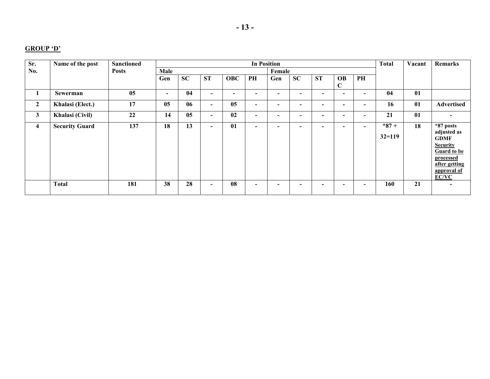#### **GROUP 'D'**

| Sr.            | Name of the post      | <b>Sanctioned</b> |                |           |                          |                | <b>In Position</b>       |                          |                          |                          |                          |                          | <b>Total</b>         | Vacant | Remarks                                                                                                                                |
|----------------|-----------------------|-------------------|----------------|-----------|--------------------------|----------------|--------------------------|--------------------------|--------------------------|--------------------------|--------------------------|--------------------------|----------------------|--------|----------------------------------------------------------------------------------------------------------------------------------------|
| No.            |                       | <b>Posts</b>      | Male           |           |                          |                |                          | Female                   |                          |                          |                          |                          |                      |        |                                                                                                                                        |
|                |                       |                   | Gen            | <b>SC</b> | <b>ST</b>                | <b>OBC</b>     | PH                       | Gen                      | SC                       | <b>ST</b>                | <b>OB</b><br>$\mathbf C$ | PH                       |                      |        |                                                                                                                                        |
| $\bf{I}$       | Sewerman              | 05                | $\blacksquare$ | 04        | $\overline{\phantom{0}}$ | $\blacksquare$ | $\overline{\phantom{0}}$ | $\blacksquare$           | $\overline{\phantom{0}}$ | - 1                      | -                        | -                        | 04                   | 01     |                                                                                                                                        |
| $\mathbf{2}$   | Khalasi (Elect.)      | 17                | 05             | 06        | $\blacksquare$           | 05             | $\overline{\phantom{0}}$ | $\overline{\phantom{0}}$ | $\blacksquare$           | $\overline{\phantom{0}}$ | $\overline{\phantom{0}}$ | $\overline{\phantom{0}}$ | 16                   | 01     | Advertised                                                                                                                             |
| $\mathbf{3}$   | Khalasi (Civil)       | 22                | 14             | 05        | $\overline{\phantom{0}}$ | 02             | $\overline{\phantom{0}}$ | $\overline{\phantom{0}}$ | $\overline{\phantom{0}}$ | $\overline{\phantom{0}}$ | $\overline{\phantom{0}}$ | $\overline{\phantom{0}}$ | 21                   | 01     |                                                                                                                                        |
| $\overline{4}$ | <b>Security Guard</b> | 137               | 18             | 13        | $\overline{\phantom{0}}$ | 01             | $\overline{\phantom{0}}$ | $\overline{\phantom{0}}$ | $\overline{\phantom{0}}$ | -                        | -                        | - 1                      | $*87+$<br>$32 = 119$ | 18     | *87 posts<br>adjusted as<br><b>GDMF</b><br><b>Security</b><br><b>Guard to be</b><br>processed<br>after getting<br>approval of<br>EC/VC |
|                | <b>Total</b>          | 181               | 38             | 28        | $\overline{\phantom{0}}$ | 08             | $\overline{\phantom{0}}$ | $\overline{\phantom{0}}$ | -                        | -                        | -                        | -                        | 160                  | 21     |                                                                                                                                        |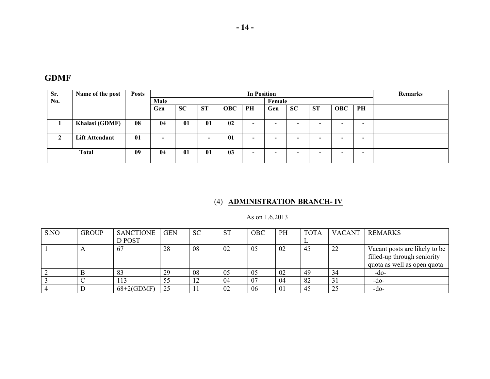| FDM |
|-----|
|-----|

| Sr. | Name of the post      | <b>Posts</b> |      |           |                          |                | <b>In Position</b>       |                          |           |           |            |    | Remarks |
|-----|-----------------------|--------------|------|-----------|--------------------------|----------------|--------------------------|--------------------------|-----------|-----------|------------|----|---------|
| No. |                       |              | Male |           |                          |                |                          | Female                   |           |           |            |    |         |
|     |                       |              | Gen  | <b>SC</b> | <b>ST</b>                | <b>OBC</b>     | PH                       | Gen                      | <b>SC</b> | <b>ST</b> | <b>OBC</b> | PH |         |
|     | Khalasi (GDMF)        | 08           | 04   | 01        | 01                       | 02             | $\overline{\phantom{0}}$ | $\overline{\phantom{0}}$ |           |           | -          | -  |         |
|     | <b>Lift Attendant</b> | 01           |      |           | $\overline{\phantom{0}}$ | 01             | $\overline{\phantom{0}}$ | $\overline{\phantom{0}}$ |           |           | -          | -  |         |
|     | <b>Total</b>          | 09           | 04   | 01        | 01                       | 0 <sub>3</sub> | $\overline{\phantom{0}}$ | $\overline{\phantom{0}}$ |           | -         | -          | -  |         |

# (4) **ADMINISTRATION BRANCH- IV**

As on 1.6.2013

| S.NO | <b>GROUP</b> | <b>SANCTIONE</b> | <b>GEN</b> | <b>SC</b> | <b>ST</b> | <b>OBC</b> | PH | <b>TOTA</b> | <b>VACANT</b> | <b>REMARKS</b>                                                                              |
|------|--------------|------------------|------------|-----------|-----------|------------|----|-------------|---------------|---------------------------------------------------------------------------------------------|
|      |              | D POST           |            |           |           |            |    |             |               |                                                                                             |
|      | $\Delta$     | 67               | 28         | 08        | 02        | 05         | 02 | 45          | 22            | Vacant posts are likely to be<br>filled-up through seniority<br>quota as well as open quota |
|      |              | 83               | 29         | 08        | 05        | 05         | 02 | 49          | 34            | -do-                                                                                        |
|      |              | 113              | 55         | 12        | 04        | 07         | 04 | 82          | 31            | -do-                                                                                        |
|      |              | $68+2$ (GDMF)    | 25         |           | 02        | 06         | 01 | 45          | 25            | -do-                                                                                        |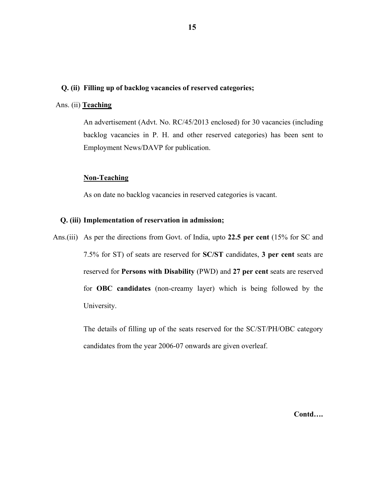#### **Q. (ii) Filling up of backlog vacancies of reserved categories;**

## Ans. (ii) **Teaching**

 An advertisement (Advt. No. RC/45/2013 enclosed) for 30 vacancies (including backlog vacancies in P. H. and other reserved categories) has been sent to Employment News/DAVP for publication.

#### **Non-Teaching**

As on date no backlog vacancies in reserved categories is vacant.

#### **Q. (iii) Implementation of reservation in admission;**

Ans.(iii) As per the directions from Govt. of India, upto **22.5 per cent** (15% for SC and 7.5% for ST) of seats are reserved for **SC/ST** candidates, **3 per cent** seats are reserved for **Persons with Disability** (PWD) and **27 per cent** seats are reserved for **OBC candidates** (non-creamy layer) which is being followed by the University.

> The details of filling up of the seats reserved for the SC/ST/PH/OBC category candidates from the year 2006-07 onwards are given overleaf.

> > **Contd….**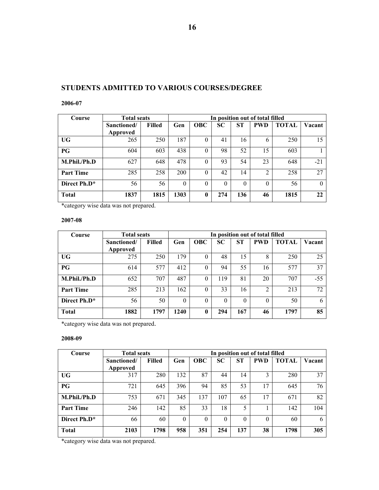# **STUDENTS ADMITTED TO VARIOUS COURSES/DEGREE**

#### **2006-07**

| Course                   | <b>Total seats</b> |        |          |            |           |           | In position out of total filled |              |          |
|--------------------------|--------------------|--------|----------|------------|-----------|-----------|---------------------------------|--------------|----------|
|                          | Sanctioned/        | Filled | Gen      | <b>OBC</b> | <b>SC</b> | <b>ST</b> | <b>PWD</b>                      | <b>TOTAL</b> | Vacant   |
|                          | Approved           |        |          |            |           |           |                                 |              |          |
| UG                       | 265                | 250    | 187      | $\theta$   | 41        | 16        | 6                               | 250          | 15       |
| PG                       | 604                | 603    | 438      | $\Omega$   | 98        | 52        | 15                              | 603          |          |
| M.Phil./Ph.D             | 627                | 648    | 478      | $\Omega$   | 93        | 54        | 23                              | 648          | $-21$    |
| <b>Part Time</b>         | 285                | 258    | 200      | $\Omega$   | 42        | 14        | 2                               | 258          | 27       |
| Direct Ph.D <sup>*</sup> | 56                 | 56     | $\theta$ | $\theta$   | $\theta$  | $\theta$  | $\theta$                        | 56           | $\Omega$ |
| <b>Total</b>             | 1837               | 1815   | 1303     | 0          | 274       | 136       | 46                              | 1815         | 22       |

\*category wise data was not prepared.

#### **2007-08**

| Course           | <b>Total seats</b> |               |          |              |           |          | In position out of total filled |              |        |
|------------------|--------------------|---------------|----------|--------------|-----------|----------|---------------------------------|--------------|--------|
|                  | Sanctioned/        | <b>Filled</b> | Gen      | <b>OBC</b>   | <b>SC</b> | ST       | <b>PWD</b>                      | <b>TOTAL</b> | Vacant |
|                  | Approved           |               |          |              |           |          |                                 |              |        |
| <b>UG</b>        | 275                | 250           | 179      | $\Omega$     | 48        | 15       | 8                               | 250          | 25     |
| PG               | 614                | 577           | 412      | $\Omega$     | 94        | 55       | 16                              | 577          | 37     |
| M.Phil./Ph.D     | 652                | 707           | 487      | $\Omega$     | 119       | 81       | 20                              | 707          | $-55$  |
| <b>Part Time</b> | 285                | 213           | 162      | $\Omega$     | 33        | 16       | $\overline{2}$                  | 213          | 72     |
| Direct Ph.D*     | 56                 | 50            | $\Omega$ | $\theta$     | $\theta$  | $\theta$ | $\theta$                        | 50           | 6      |
| <b>Total</b>     | 1882               | 1797          | 1240     | $\mathbf{0}$ | 294       | 167      | 46                              | 1797         | 85     |

\*category wise data was not prepared.

#### **2008-09**

| Course           | <b>Total seats</b> |               |          |            |           |           | In position out of total filled |              |        |
|------------------|--------------------|---------------|----------|------------|-----------|-----------|---------------------------------|--------------|--------|
|                  | Sanctioned/        | <b>Filled</b> | Gen      | <b>OBC</b> | <b>SC</b> | <b>ST</b> | <b>PWD</b>                      | <b>TOTAL</b> | Vacant |
|                  | Approved           |               |          |            |           |           |                                 |              |        |
| UG               | 317                | 280           | 132      | 87         | 44        | 14        | 3                               | 280          | 37     |
| PG               | 721                | 645           | 396      | 94         | 85        | 53        | 17                              | 645          | 76     |
| M.Phil./Ph.D     | 753                | 671           | 345      | 137        | 107       | 65        | 17                              | 671          | 82     |
| <b>Part Time</b> | 246                | 142           | 85       | 33         | 18        | 5         |                                 | 142          | 104    |
| Direct Ph.D*     | 66                 | 60            | $\Omega$ | $\Omega$   | $\theta$  | $\theta$  | $\theta$                        | 60           | 6      |
| <b>Total</b>     | 2103               | 1798          | 958      | 351        | 254       | 137       | 38                              | 1798         | 305    |

\*category wise data was not prepared.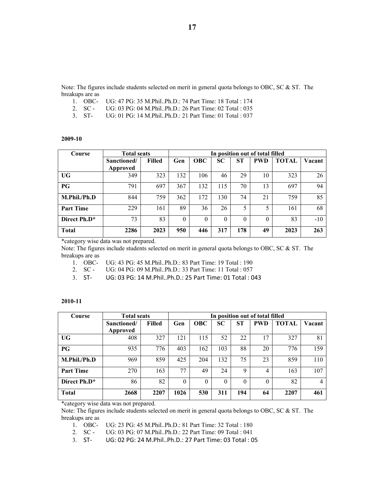Note: The figures include students selected on merit in general quota belongs to OBC, SC & ST. The breakups are as<br>1. OBC-

- UG: 47 PG: 35 M.Phil..Ph.D.: 74 Part Time: 18 Total : 174
- 2. SC UG: 03 PG: 04 M.Phil..Ph.D.: 26 Part Time: 02 Total : 035
- 3. ST- UG: 01 PG: 14 M.Phil..Ph.D.: 21 Part Time: 01 Total : 037

#### **2009-10**

| Course           | <b>Total seats</b> |        |          |            |           |          | In position out of total filled |              |        |
|------------------|--------------------|--------|----------|------------|-----------|----------|---------------------------------|--------------|--------|
|                  | Sanctioned/        | Filled | Gen      | <b>OBC</b> | <b>SC</b> | ST       | <b>PWD</b>                      | <b>TOTAL</b> | Vacant |
|                  | Approved           |        |          |            |           |          |                                 |              |        |
| <b>UG</b>        | 349                | 323    | 132      | 106        | 46        | 29       | 10                              | 323          | 26     |
| PG               | 791                | 697    | 367      | 132        | 115       | 70       | 13                              | 697          | 94     |
| M.Phil./Ph.D     | 844                | 759    | 362      | 172        | 130       | 74       | 21                              | 759          | 85     |
| <b>Part Time</b> | 229                | 161    | 89       | 36         | 26        | 5        | 5                               | 161          | 68     |
| Direct Ph.D*     | 73                 | 83     | $\Omega$ | $\theta$   | 0         | $\theta$ | $\theta$                        | 83           | $-10$  |
| <b>Total</b>     | 2286               | 2023   | 950      | 446        | 317       | 178      | 49                              | 2023         | 263    |

\*category wise data was not prepared.

Note: The figures include students selected on merit in general quota belongs to OBC, SC & ST. The breakups are as

1. OBC- UG: 43 PG: 45 M.Phil..Ph.D.: 83 Part Time: 19 Total : 190

2. SC - UG: 04 PG: 09 M.Phil..Ph.D.: 33 Part Time: 11 Total : 057

3. ST‐ UG: 03 PG: 14 M.Phil..Ph.D.: 25 Part Time: 01 Total : 043

#### **2010-11**

| Course                   | <b>Total seats</b> |               |      |            |          |             | In position out of total filled |              |        |
|--------------------------|--------------------|---------------|------|------------|----------|-------------|---------------------------------|--------------|--------|
|                          | Sanctioned/        | <b>Filled</b> | Gen  | <b>OBC</b> | SC       | <b>ST</b>   | <b>PWD</b>                      | <b>TOTAL</b> | Vacant |
|                          | Approved           |               |      |            |          |             |                                 |              |        |
| UG                       | 408                | 327           | 121  | 115        | 52       | 22          | 17                              | 327          | 81     |
| PG                       | 935                | 776           | 403  | 162        | 103      | 88          | 20                              | 776          | 159    |
| M.Phil./Ph.D             | 969                | 859           | 425  | 204        | 132      | 75          | 23                              | 859          | 110    |
| <b>Part Time</b>         | 270                | 163           | 77   | 49         | 24       | $\mathbf Q$ | 4                               | 163          | 107    |
| Direct Ph.D <sup>*</sup> | 86                 | 82            |      | $\theta$   | $\theta$ | 0           | $\theta$                        | 82           | 4      |
| <b>Total</b>             | 2668               | 2207          | 1026 | 530        | 311      | 194         | 64                              | 2207         | 461    |

\*category wise data was not prepared.

Note: The figures include students selected on merit in general quota belongs to OBC, SC & ST. The breakups are as

1. OBC- UG: 23 PG: 45 M.Phil..Ph.D.: 81 Part Time: 32 Total : 180

2. SC - UG: 03 PG: 07 M.Phil..Ph.D.: 22 Part Time: 09 Total : 041

3. ST‐ UG: 02 PG: 24 M.Phil..Ph.D.: 27 Part Time: 03 Total : 05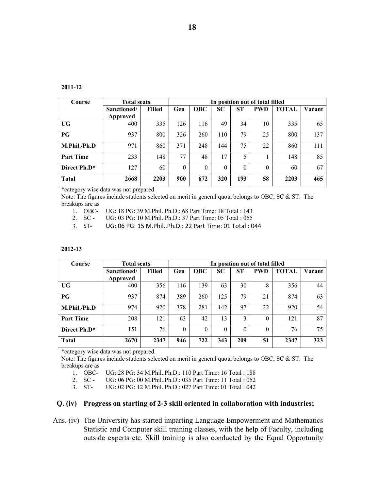| D.<br>∠ |
|---------|
|---------|

| Course                   | <b>Total seats</b> |               | In position out of total filled |            |           |          |            |              |        |
|--------------------------|--------------------|---------------|---------------------------------|------------|-----------|----------|------------|--------------|--------|
|                          | Sanctioned/        | <b>Filled</b> | Gen                             | <b>OBC</b> | <b>SC</b> | ST       | <b>PWD</b> | <b>TOTAL</b> | Vacant |
|                          | Approved           |               |                                 |            |           |          |            |              |        |
| <b>UG</b>                | 400                | 335           | 126                             | 116        | 49        | 34       | 10         | 335          | 65     |
| PG                       | 937                | 800           | 326                             | 260        | 110       | 79       | 25         | 800          | 137    |
| M.Phil./Ph.D             | 971                | 860           | 371                             | 248        | 144       | 75       | 22         | 860          | 111    |
| <b>Part Time</b>         | 233                | 148           | 77                              | 48         | 17        | 5        |            | 148          | 85     |
| Direct Ph.D <sup>*</sup> | 127                | 60            | $\Omega$                        | 0          | $\Omega$  | $\Omega$ | $\theta$   | 60           | 67     |
| <b>Total</b>             | 2668               | 2203          | 900                             | 672        | 320       | 193      | 58         | 2203         | 465    |

\*category wise data was not prepared.

Note: The figures include students selected on merit in general quota belongs to OBC, SC & ST. The breakups are as

- 1. OBC- UG: 18 PG: 39 M.Phil..Ph.D.: 68 Part Time: 18 Total : 143
- 2. SC UG: 03 PG: 10 M.Phil..Ph.D.: 37 Part Time: 05 Total : 055
- 3. ST‐ UG: 06 PG: 15 M.Phil..Ph.D.: 22 Part Time: 01 Total : 044

#### **2012-13**

| Course           | <b>Total seats</b> |        | In position out of total filled |            |           |     |            |              |        |
|------------------|--------------------|--------|---------------------------------|------------|-----------|-----|------------|--------------|--------|
|                  | Sanctioned/        | Filled | Gen                             | <b>OBC</b> | <b>SC</b> | ST  | <b>PWD</b> | <b>TOTAL</b> | Vacant |
|                  | Approved           |        |                                 |            |           |     |            |              |        |
| <b>UG</b>        | 400                | 356    | 116                             | 139        | 63        | 30  | 8          | 356          | 44     |
| PG               | 937                | 874    | 389                             | 260        | 125       | 79  | 21         | 874          | 63     |
| M.Phil./Ph.D     | 974                | 920    | 378                             | 281        | 142       | 97  | 22         | 920          | 54     |
| <b>Part Time</b> | 208                | 121    | 63                              | 42         | 13        | 3   | $\theta$   | 121          | 87     |
| Direct Ph.D*     | 151                | 76     | $\Omega$                        | $\Omega$   | $\theta$  | 0   | $\theta$   | 76           | 75     |
| <b>Total</b>     | 2670               | 2347   | 946                             | 722        | 343       | 209 | 51         | 2347         | 323    |

\*category wise data was not prepared.

Note: The figures include students selected on merit in general quota belongs to OBC, SC & ST. The breakups are as

1. OBC- UG: 28 PG: 34 M.Phil..Ph.D.: 110 Part Time: 16 Total : 188

2. SC - UG: 06 PG: 00 M.Phil..Ph.D.: 035 Part Time: 11 Total : 052

3. ST- UG: 02 PG: 12 M.Phil..Ph.D.: 027 Part Time: 01 Total : 042

#### **Q. (iv) Progress on starting of 2-3 skill oriented in collaboration with industries;**

Ans. (iv) The University has started imparting Language Empowerment and Mathematics Statistic and Computer skill training classes, with the help of Faculty, including outside experts etc. Skill training is also conducted by the Equal Opportunity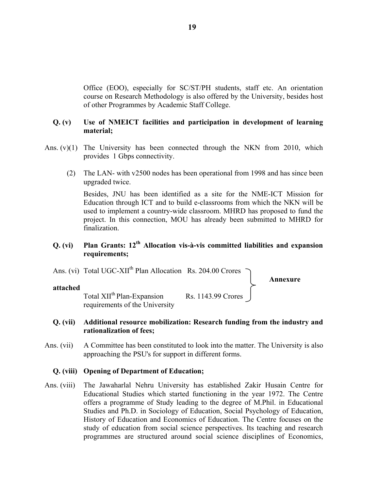Office (EOO), especially for SC/ST/PH students, staff etc. An orientation course on Research Methodology is also offered by the University, besides host of other Programmes by Academic Staff College.

# **Q. (v) Use of NMEICT facilities and participation in development of learning material;**

- Ans. (v)(1) The University has been connected through the NKN from 2010, which provides 1 Gbps connectivity.
	- (2) The LAN- with v2500 nodes has been operational from 1998 and has since been upgraded twice.

 Besides, JNU has been identified as a site for the NME-ICT Mission for Education through ICT and to build e-classrooms from which the NKN will be used to implement a country-wide classroom. MHRD has proposed to fund the project. In this connection, MOU has already been submitted to MHRD for finalization.

# **Q. (vi) Plan Grants: 12th Allocation vis-à-vis committed liabilities and expansion requirements;**



# **Q. (vii) Additional resource mobilization: Research funding from the industry and rationalization of fees;**

Ans. (vii) A Committee has been constituted to look into the matter. The University is also approaching the PSU's for support in different forms.

# **Q. (viii) Opening of Department of Education;**

Ans. (viii) The Jawaharlal Nehru University has established Zakir Husain Centre for Educational Studies which started functioning in the year 1972. The Centre offers a programme of Study leading to the degree of M.Phil. in Educational Studies and Ph.D. in Sociology of Education, Social Psychology of Education, History of Education and Economics of Education. The Centre focuses on the study of education from social science perspectives. Its teaching and research programmes are structured around social science disciplines of Economics,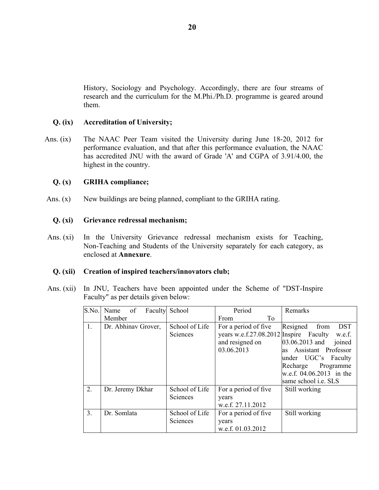History, Sociology and Psychology. Accordingly, there are four streams of research and the curriculum for the M.Phi./Ph.D. programme is geared around them.

# **Q. (ix) Accreditation of University;**

Ans. (ix) The NAAC Peer Team visited the University during June 18-20, 2012 for performance evaluation, and that after this performance evaluation, the NAAC has accredited JNU with the award of Grade 'A' and CGPA of 3.91/4.00, the highest in the country.

# **Q. (x) GRIHA compliance;**

Ans. (x) New buildings are being planned, compliant to the GRIHA rating.

### **Q. (xi) Grievance redressal mechanism;**

Ans. (xi) In the University Grievance redressal mechanism exists for Teaching, Non-Teaching and Students of the University separately for each category, as enclosed at **Annexure**.

### **Q. (xii) Creation of inspired teachers/innovators club;**

Ans. (xii) In JNU, Teachers have been appointed under the Scheme of "DST-Inspire Faculty" as per details given below:

| S.No.          | of<br>Name          | Faculty School                    | Period                                                                                          | Remarks                                                                                                                                                                                            |
|----------------|---------------------|-----------------------------------|-------------------------------------------------------------------------------------------------|----------------------------------------------------------------------------------------------------------------------------------------------------------------------------------------------------|
|                | Member              |                                   | To<br>From                                                                                      |                                                                                                                                                                                                    |
| 1.             | Dr. Abhinav Grover, | School of Life<br><b>Sciences</b> | For a period of five<br>years w.e.f.27.08.2012 Inspire Faculty<br>and resigned on<br>03.06.2013 | Resigned<br><b>DST</b><br>from<br>w.e.f.<br>03.06.2013 and<br>joined<br>as Assistant Professor<br>under UGC's Faculty<br>Programme<br>Recharge<br>w.e.f. 04.06.2013 in the<br>same school i.e. SLS |
| 2.             | Dr. Jeremy Dkhar    | School of Life<br><b>Sciences</b> | For a period of five<br>years<br>w.e.f. 27.11.2012                                              | Still working                                                                                                                                                                                      |
| 3 <sub>1</sub> | Dr. Somlata         | School of Life<br>Sciences        | For a period of five<br>years<br>w.e.f. 01.03.2012                                              | Still working                                                                                                                                                                                      |